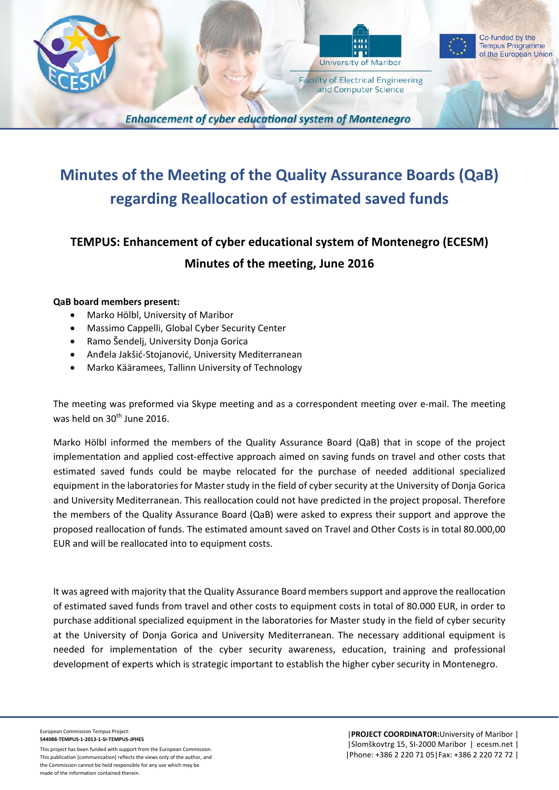



**Faculty of Electrical Engineering** and Computer Science



**Tempus Programme** of the European Union

**Enhancement of cyber educational system of Montenegro** 

## **Minutes of the Meeting of the Quality Assurance Boards (QaB) regarding Reallocation of estimated saved funds**

## **TEMPUS: Enhancement of cyber educational system of Montenegro (ECESM) Minutes of the meeting, June 2016**

## **QaB board members present:**

- Marko Hölbl, University of Maribor
- Massimo Cappelli, Global Cyber Security Center
- Ramo Šendelj, University Donja Gorica
- Anđela Jakšić-Stojanović, University Mediterranean
- Marko Kääramees, Tallinn University of Technology

The meeting was preformed via Skype meeting and as a correspondent meeting over e-mail. The meeting was held on 30th June 2016.

Marko Hölbl informed the members of the Quality Assurance Board (QaB) that in scope of the project implementation and applied cost-effective approach aimed on saving funds on travel and other costs that estimated saved funds could be maybe relocated for the purchase of needed additional specialized equipment in the laboratories for Master study in the field of cyber security at the University of Donja Gorica and University Mediterranean. This reallocation could not have predicted in the project proposal. Therefore the members of the Quality Assurance Board (QaB) were asked to express their support and approve the proposed reallocation of funds. The estimated amount saved on Travel and Other Costs is in total 80.000,00 EUR and will be reallocated into to equipment costs.

It was agreed with majority that the Quality Assurance Board members support and approve the reallocation of estimated saved funds from travel and other costs to equipment costs in total of 80.000 EUR, in order to purchase additional specialized equipment in the laboratories for Master study in the field of cyber security at the University of Donja Gorica and University Mediterranean. The necessary additional equipment is needed for implementation of the cyber security awareness, education, training and professional development of experts which is strategic important to establish the higher cyber security in Montenegro.

European Commission Tempus Project: **544088‐TEMPUS‐1‐2013‐1‐SI‐TEMPUS‐JPHES**

This project has been funded with support from the European Commission. This publication [communication] reflects the views only of the author, and the Commission cannot be held responsible for any use which may be made of the information contained therein.